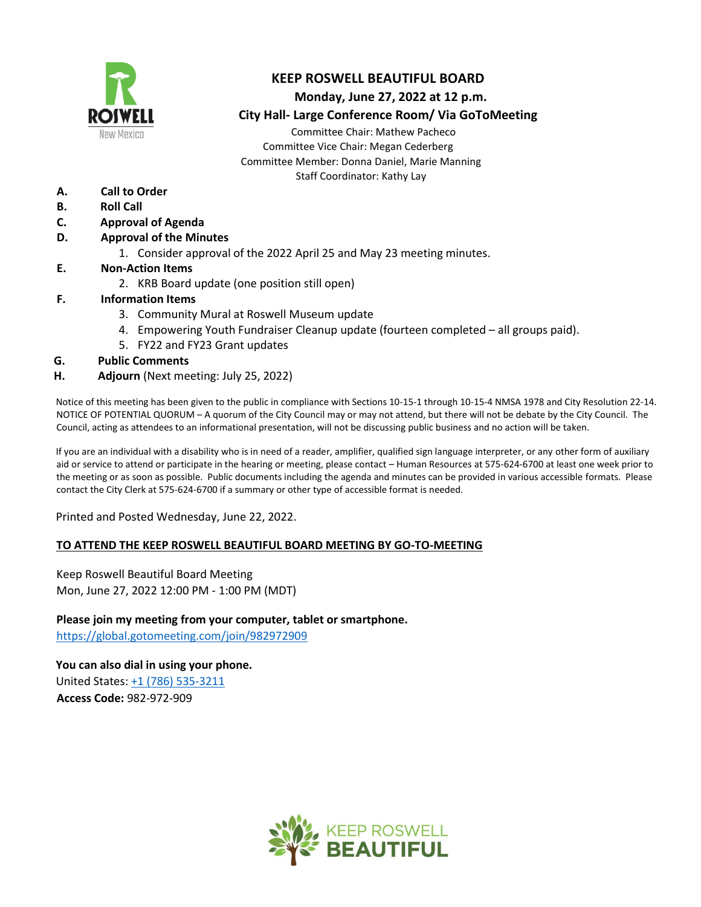

## **KEEP ROSWELL BEAUTIFUL BOARD**

#### **Monday, June 27, 2022 at 12 p.m.**

 **City Hall- Large Conference Room/ Via GoToMeeting**

Committee Chair: Mathew Pacheco Committee Vice Chair: Megan Cederberg Committee Member: Donna Daniel, Marie Manning Staff Coordinator: Kathy Lay

- **A. Call to Order**
- **B. Roll Call**
- **C. Approval of Agenda**
- **D. Approval of the Minutes** 
	- 1. Consider approval of the 2022 April 25 and May 23 meeting minutes.
- **E. Non-Action Items**
	- 2. KRB Board update (one position still open)

#### **F. Information Items**

- 3. Community Mural at Roswell Museum update
- 4. Empowering Youth Fundraiser Cleanup update (fourteen completed all groups paid).
- 5. FY22 and FY23 Grant updates

#### **G. Public Comments**

**H. Adjourn** (Next meeting: July 25, 2022)

Notice of this meeting has been given to the public in compliance with Sections 10-15-1 through 10-15-4 NMSA 1978 and City Resolution 22-14. NOTICE OF POTENTIAL QUORUM – A quorum of the City Council may or may not attend, but there will not be debate by the City Council. The Council, acting as attendees to an informational presentation, will not be discussing public business and no action will be taken.

If you are an individual with a disability who is in need of a reader, amplifier, qualified sign language interpreter, or any other form of auxiliary aid or service to attend or participate in the hearing or meeting, please contact – Human Resources at 575-624-6700 at least one week prior to the meeting or as soon as possible. Public documents including the agenda and minutes can be provided in various accessible formats. Please contact the City Clerk at 575-624-6700 if a summary or other type of accessible format is needed.

Printed and Posted Wednesday, June 22, 2022.

#### **TO ATTEND THE KEEP ROSWELL BEAUTIFUL BOARD MEETING BY GO-TO-MEETING**

Keep Roswell Beautiful Board Meeting Mon, June 27, 2022 12:00 PM - 1:00 PM (MDT)

**Please join my meeting from your computer, tablet or smartphone.**  <https://global.gotomeeting.com/join/982972909>

**You can also dial in using your phone.** United States: +1 (786) 535-3211 **Access Code:** 982-972-909

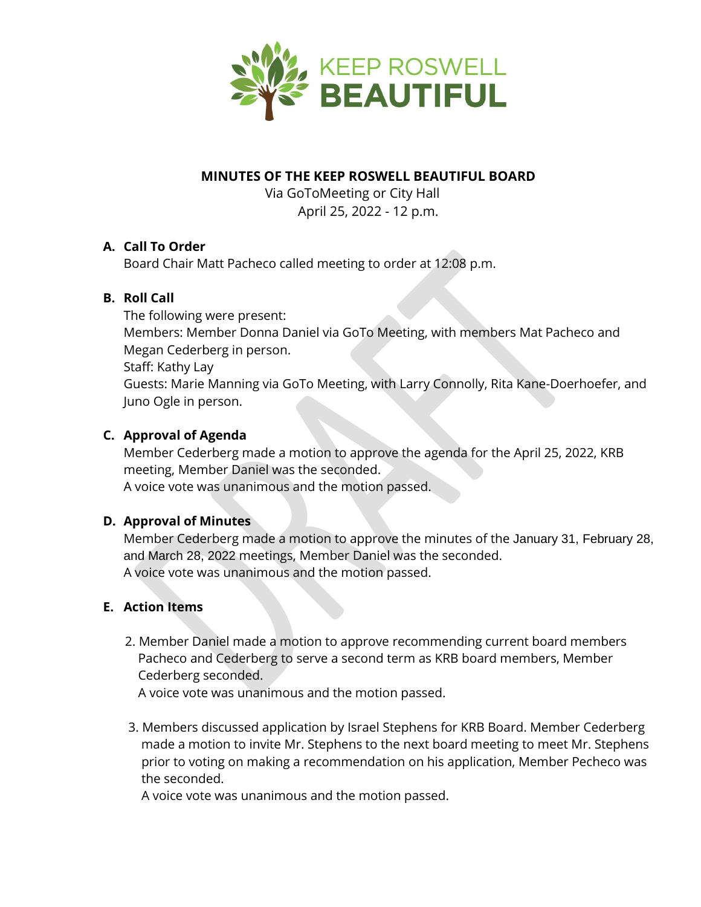

## **MINUTES OF THE KEEP ROSWELL BEAUTIFUL BOARD**

 Via GoToMeeting or City Hall April 25, 2022 - 12 p.m.

## **A. Call To Order**

Board Chair Matt Pacheco called meeting to order at 12:08 p.m.

## **B. Roll Call**

The following were present: Members: Member Donna Daniel via GoTo Meeting, with members Mat Pacheco and Megan Cederberg in person. Staff: Kathy Lay Guests: Marie Manning via GoTo Meeting, with Larry Connolly, Rita Kane-Doerhoefer, and Juno Ogle in person.

## **C. Approval of Agenda**

Member Cederberg made a motion to approve the agenda for the April 25, 2022, KRB meeting, Member Daniel was the seconded. A voice vote was unanimous and the motion passed.

#### **D. Approval of Minutes**

Member Cederberg made a motion to approve the minutes of the January 31, February 28, and March 28, 2022 meetings, Member Daniel was the seconded. A voice vote was unanimous and the motion passed.

#### **E. Action Items**

 2. Member Daniel made a motion to approve recommending current board members Pacheco and Cederberg to serve a second term as KRB board members, Member Cederberg seconded.

A voice vote was unanimous and the motion passed.

 3. Members discussed application by Israel Stephens for KRB Board. Member Cederberg made a motion to invite Mr. Stephens to the next board meeting to meet Mr. Stephens prior to voting on making a recommendation on his application, Member Pecheco was the seconded.

A voice vote was unanimous and the motion passed.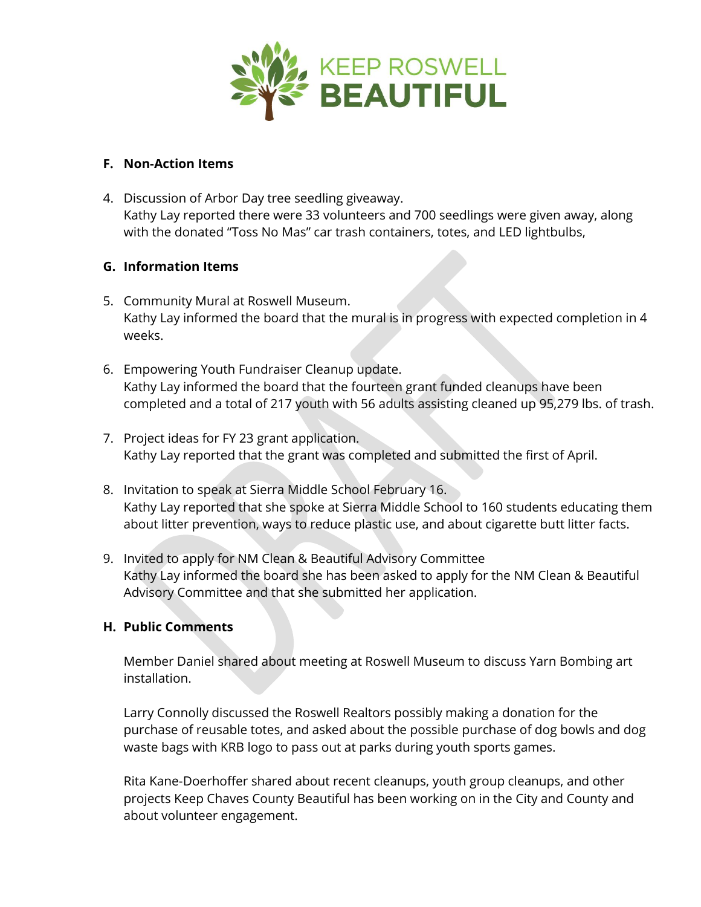

#### **F. Non-Action Items**

4. Discussion of Arbor Day tree seedling giveaway. *Kathy Lay reported there were 33 volunteers and 700 seedlings were given away, along with the donated "Toss No Mas" car trash containers, totes, and LED lightbulbs,* 

## **G. Information Items**

- *5.* Community Mural at Roswell Museum. *Kathy Lay informed the board that the mural is in progress with expected completion in 4 weeks.*
- *6.* Empowering Youth Fundraiser Cleanup update. *Kathy Lay informed the board that the fourteen grant funded cleanups have been completed and a total of 217 youth with 56 adults assisting cleaned up 95,279 lbs. of trash.*
- *7.* Project ideas for FY 23 grant application. *Kathy Lay reported that the grant was completed and submitted the first of April.*
- 8. Invitation to speak at Sierra Middle School February 16. *Kathy Lay reported that she spoke at Sierra Middle School to 160 students educating them about litter prevention, ways to reduce plastic use, and about cigarette butt litter facts.*
- 9. Invited to apply for NM Clean & Beautiful Advisory Committee Kathy Lay informed the board she has been asked to apply for the NM Clean & Beautiful Advisory Committee and that she submitted her application.

#### **H. Public Comments**

Member Daniel shared about meeting at Roswell Museum to discuss Yarn Bombing art installation.

Larry Connolly discussed the Roswell Realtors possibly making a donation for the purchase of reusable totes, and asked about the possible purchase of dog bowls and dog waste bags with KRB logo to pass out at parks during youth sports games.

Rita Kane-Doerhoffer shared about recent cleanups, youth group cleanups, and other projects Keep Chaves County Beautiful has been working on in the City and County and about volunteer engagement.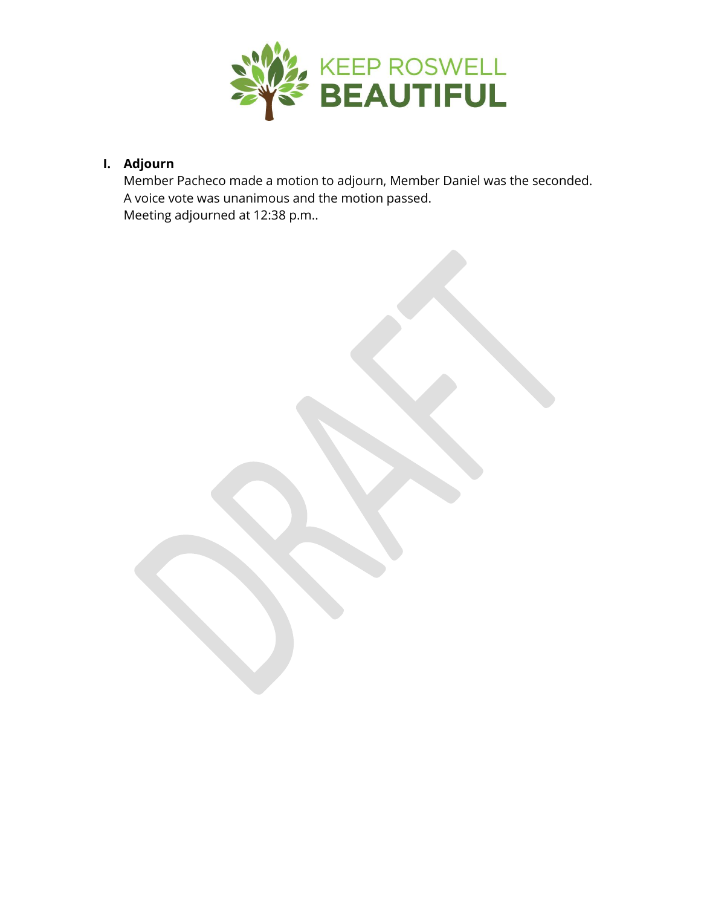

# **I. Adjourn**

Member Pacheco made a motion to adjourn, Member Daniel was the seconded. A voice vote was unanimous and the motion passed. Meeting adjourned at 12:38 p.m..